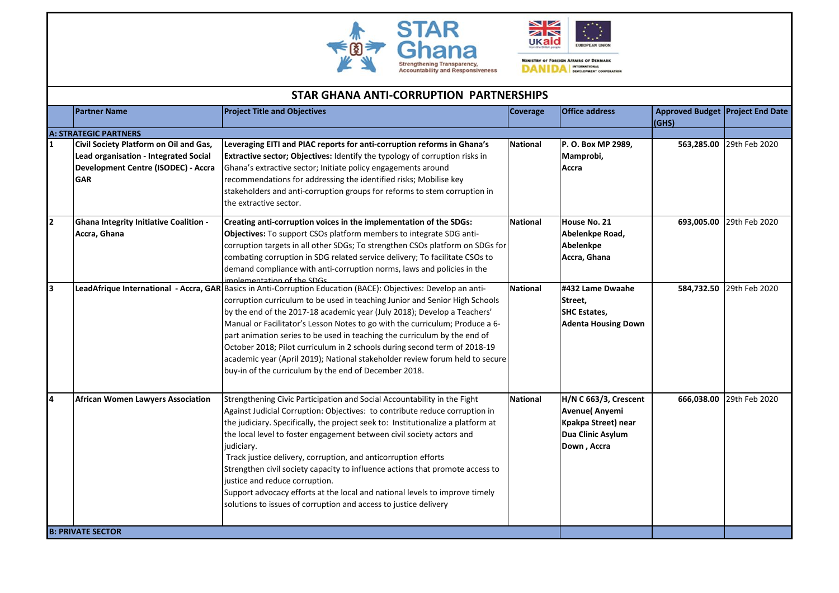



MINISTRY OF FOREIGN AFFAIRS OF DENMARK **DANIDA** WTERKRIGHAL

|   | <b>STAR GHANA ANTI-CORRUPTION PARTNERSHIPS</b>                                                                                       |                                                                                                                                                                                                                                                                                                                                                                                                                                                                                                                                                                                                                                                                            |                 |                                                                                                           |                                           |                          |  |  |
|---|--------------------------------------------------------------------------------------------------------------------------------------|----------------------------------------------------------------------------------------------------------------------------------------------------------------------------------------------------------------------------------------------------------------------------------------------------------------------------------------------------------------------------------------------------------------------------------------------------------------------------------------------------------------------------------------------------------------------------------------------------------------------------------------------------------------------------|-----------------|-----------------------------------------------------------------------------------------------------------|-------------------------------------------|--------------------------|--|--|
|   | <b>Partner Name</b>                                                                                                                  | <b>Project Title and Objectives</b>                                                                                                                                                                                                                                                                                                                                                                                                                                                                                                                                                                                                                                        | Coverage        | <b>Office address</b>                                                                                     | Approved Budget Project End Date<br>(GHS) |                          |  |  |
|   | <b>A: STRATEGIC PARTNERS</b>                                                                                                         |                                                                                                                                                                                                                                                                                                                                                                                                                                                                                                                                                                                                                                                                            |                 |                                                                                                           |                                           |                          |  |  |
|   | Civil Society Platform on Oil and Gas,<br>Lead organisation - Integrated Social<br>Development Centre (ISODEC) - Accra<br><b>GAR</b> | Leveraging EITI and PIAC reports for anti-corruption reforms in Ghana's<br>Extractive sector; Objectives: Identify the typology of corruption risks in<br>Ghana's extractive sector; Initiate policy engagements around<br>recommendations for addressing the identified risks; Mobilise key<br>stakeholders and anti-corruption groups for reforms to stem corruption in<br>the extractive sector.                                                                                                                                                                                                                                                                        | <b>National</b> | P.O. Box MP 2989,<br>Mamprobi,<br>Accra                                                                   | 563,285.00                                | 29th Feb 2020            |  |  |
| 2 | Ghana Integrity Initiative Coalition -<br>Accra, Ghana                                                                               | Creating anti-corruption voices in the implementation of the SDGs:<br><b>Objectives:</b> To support CSOs platform members to integrate SDG anti-<br>corruption targets in all other SDGs; To strengthen CSOs platform on SDGs for<br>combating corruption in SDG related service delivery; To facilitate CSOs to<br>demand compliance with anti-corruption norms, laws and policies in the<br>implementation of the SDGs                                                                                                                                                                                                                                                   | <b>National</b> | House No. 21<br>Abelenkpe Road,<br>Abelenkpe<br>Accra, Ghana                                              |                                           | 693,005.00 29th Feb 2020 |  |  |
| 3 |                                                                                                                                      | LeadAfrique International - Accra, GAR Basics in Anti-Corruption Education (BACE): Objectives: Develop an anti-<br>corruption curriculum to be used in teaching Junior and Senior High Schools<br>by the end of the 2017-18 academic year (July 2018); Develop a Teachers'<br>Manual or Facilitator's Lesson Notes to go with the curriculum; Produce a 6-<br>part animation series to be used in teaching the curriculum by the end of<br>October 2018; Pilot curriculum in 2 schools during second term of 2018-19<br>academic year (April 2019); National stakeholder review forum held to secure<br>buy-in of the curriculum by the end of December 2018.              | <b>National</b> | #432 Lame Dwaahe<br>Street,<br><b>SHC Estates.</b><br><b>Adenta Housing Down</b>                          |                                           | 584,732.50 29th Feb 2020 |  |  |
| 4 | <b>African Women Lawyers Association</b>                                                                                             | Strengthening Civic Participation and Social Accountability in the Fight<br>Against Judicial Corruption: Objectives: to contribute reduce corruption in<br>the judiciary. Specifically, the project seek to: Institutionalize a platform at<br>the local level to foster engagement between civil society actors and<br>judiciary.<br>Track justice delivery, corruption, and anticorruption efforts<br>Strengthen civil society capacity to influence actions that promote access to<br>justice and reduce corruption.<br>Support advocacy efforts at the local and national levels to improve timely<br>solutions to issues of corruption and access to justice delivery | <b>National</b> | H/N C 663/3, Crescent<br><b>Avenue</b> (Anyemi<br>Kpakpa Street) near<br>Dua Clinic Asylum<br>Down, Accra | 666,038.00                                | 29th Feb 2020            |  |  |
|   | <b>B: PRIVATE SECTOR</b>                                                                                                             |                                                                                                                                                                                                                                                                                                                                                                                                                                                                                                                                                                                                                                                                            |                 |                                                                                                           |                                           |                          |  |  |
|   |                                                                                                                                      |                                                                                                                                                                                                                                                                                                                                                                                                                                                                                                                                                                                                                                                                            |                 |                                                                                                           |                                           |                          |  |  |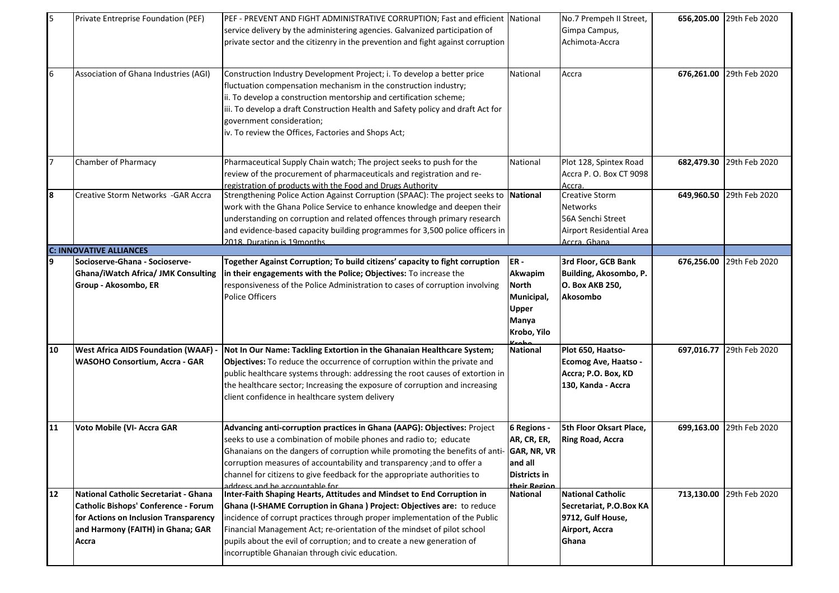| 5  | Private Entreprise Foundation (PEF)                                                                                                                                  | PEF - PREVENT AND FIGHT ADMINISTRATIVE CORRUPTION; Fast and efficient National<br>service delivery by the administering agencies. Galvanized participation of<br>private sector and the citizenry in the prevention and fight against corruption                                                                                                                                                                                       |                                                                                       | No.7 Prempeh II Street,<br>Gimpa Campus,<br>Achimota-Accra                                               | 656,205.00 | 29th Feb 2020 |
|----|----------------------------------------------------------------------------------------------------------------------------------------------------------------------|----------------------------------------------------------------------------------------------------------------------------------------------------------------------------------------------------------------------------------------------------------------------------------------------------------------------------------------------------------------------------------------------------------------------------------------|---------------------------------------------------------------------------------------|----------------------------------------------------------------------------------------------------------|------------|---------------|
| 6  | Association of Ghana Industries (AGI)                                                                                                                                | Construction Industry Development Project; i. To develop a better price<br>fluctuation compensation mechanism in the construction industry;<br>ii. To develop a construction mentorship and certification scheme;<br>iii. To develop a draft Construction Health and Safety policy and draft Act for<br>government consideration;<br>iv. To review the Offices, Factories and Shops Act;                                               | National                                                                              | Accra                                                                                                    | 676,261.00 | 29th Feb 2020 |
|    | Chamber of Pharmacy                                                                                                                                                  | Pharmaceutical Supply Chain watch; The project seeks to push for the<br>review of the procurement of pharmaceuticals and registration and re-<br>registration of products with the Food and Drugs Authority                                                                                                                                                                                                                            | National                                                                              | Plot 128, Spintex Road<br>Accra P. O. Box CT 9098<br><u>Accra.</u>                                       | 682,479.30 | 29th Feb 2020 |
| 8  | Creative Storm Networks - GAR Accra                                                                                                                                  | Strengthening Police Action Against Corruption (SPAAC): The project seeks to National<br>work with the Ghana Police Service to enhance knowledge and deepen their<br>understanding on corruption and related offences through primary research<br>and evidence-based capacity building programmes for 3,500 police officers in<br>2018 Duration is 19 months                                                                           |                                                                                       | <b>Creative Storm</b><br><b>Networks</b><br>56A Senchi Street<br>Airport Residential Area<br>Accra Ghana | 649,960.50 | 29th Feb 2020 |
|    | <b>C: INNOVATIVE ALLIANCES</b>                                                                                                                                       |                                                                                                                                                                                                                                                                                                                                                                                                                                        |                                                                                       |                                                                                                          |            |               |
| 9  | Socioserve-Ghana - Socioserve-<br><b>Ghana/iWatch Africa/ JMK Consulting</b><br>Group - Akosombo, ER                                                                 | Together Against Corruption; To build citizens' capacity to fight corruption<br>in their engagements with the Police; Objectives: To increase the<br>responsiveness of the Police Administration to cases of corruption involving<br><b>Police Officers</b>                                                                                                                                                                            | IER-<br>Akwapim<br><b>North</b><br>Municipal,<br><b>Upper</b><br>Manya<br>Krobo, Yilo | 3rd Floor, GCB Bank<br>Building, Akosombo, P.<br>O. Box AKB 250,<br>Akosombo                             | 676,256.00 | 29th Feb 2020 |
| 10 | <b>West Africa AIDS Foundation (WAAF) -</b><br>WASOHO Consortium, Accra - GAR                                                                                        | Not In Our Name: Tackling Extortion in the Ghanaian Healthcare System;<br>Objectives: To reduce the occurrence of corruption within the private and<br>public healthcare systems through: addressing the root causes of extortion in<br>the healthcare sector; Increasing the exposure of corruption and increasing<br>client confidence in healthcare system delivery                                                                 | <b>National</b>                                                                       | Plot 650, Haatso-<br><b>Ecomog Ave, Haatso -</b><br>Accra; P.O. Box, KD<br>130, Kanda - Accra            | 697,016.77 | 29th Feb 2020 |
| 11 | Voto Mobile (VI- Accra GAR                                                                                                                                           | Advancing anti-corruption practices in Ghana (AAPG): Objectives: Project<br>seeks to use a combination of mobile phones and radio to; educate<br>Ghanaians on the dangers of corruption while promoting the benefits of anti- GAR, NR, VR<br>corruption measures of accountability and transparency ; and to offer a<br>channel for citizens to give feedback for the appropriate authorities to<br>address and he accountable for     | 6 Regions -<br>AR, CR, ER,<br>and all<br><b>Districts in</b><br>their Region          | 5th Floor Oksart Place,<br><b>Ring Road, Accra</b>                                                       | 699,163.00 | 29th Feb 2020 |
| 12 | National Catholic Secretariat - Ghana<br>Catholic Bishops' Conference - Forum<br>for Actions on Inclusion Transparency<br>and Harmony (FAITH) in Ghana; GAR<br>Accra | Inter-Faith Shaping Hearts, Attitudes and Mindset to End Corruption in<br>Ghana (I-SHAME Corruption in Ghana) Project: Objectives are: to reduce<br>incidence of corrupt practices through proper implementation of the Public<br>Financial Management Act; re-orientation of the mindset of pilot school<br>pupils about the evil of corruption; and to create a new generation of<br>incorruptible Ghanaian through civic education. | <b>National</b>                                                                       | <b>National Catholic</b><br>Secretariat, P.O.Box KA<br>9712, Gulf House,<br>Airport, Accra<br>Ghana      | 713,130.00 | 29th Feb 2020 |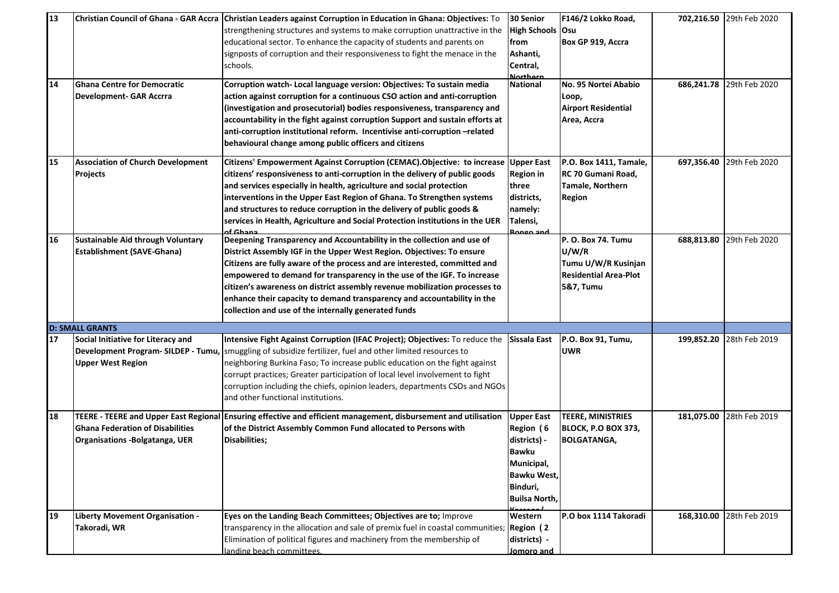| 13<br>14 | <b>Ghana Centre for Democratic</b><br><b>Development- GAR Accrra</b>       | Christian Council of Ghana - GAR Accra   Christian Leaders against Corruption in Education in Ghana: Objectives: To<br>strengthening structures and systems to make corruption unattractive in the<br>educational sector. To enhance the capacity of students and parents on<br>signposts of corruption and their responsiveness to fight the menace in the<br>schools.<br>Corruption watch- Local language version: Objectives: To sustain media<br>action against corruption for a continuous CSO action and anti-corruption<br>(investigation and prosecutorial) bodies responsiveness, transparency and<br>accountability in the fight against corruption Support and sustain efforts at<br>anti-corruption institutional reform. Incentivise anti-corruption-related<br>behavioural change among public officers and citizens | 30 Senior<br>High Schools Osu<br>from<br>Ashanti,<br>Central,<br><b>Northern</b><br><b>National</b>                             | F146/2 Lokko Road,<br>Box GP 919, Accra<br>No. 95 Nortei Ababio<br>Loop,<br><b>Airport Residential</b><br>Area, Accra | 686,241.78 | 702,216.50 29th Feb 2020<br>29th Feb 2020 |
|----------|----------------------------------------------------------------------------|------------------------------------------------------------------------------------------------------------------------------------------------------------------------------------------------------------------------------------------------------------------------------------------------------------------------------------------------------------------------------------------------------------------------------------------------------------------------------------------------------------------------------------------------------------------------------------------------------------------------------------------------------------------------------------------------------------------------------------------------------------------------------------------------------------------------------------|---------------------------------------------------------------------------------------------------------------------------------|-----------------------------------------------------------------------------------------------------------------------|------------|-------------------------------------------|
| 15       | <b>Association of Church Development</b><br><b>Projects</b>                | Citizens' Empowerment Against Corruption (CEMAC). Objective: to increase<br>citizens' responsiveness to anti-corruption in the delivery of public goods<br>and services especially in health, agriculture and social protection<br>interventions in the Upper East Region of Ghana. To Strengthen systems<br>and structures to reduce corruption in the delivery of public goods &<br>services in Health, Agriculture and Social Protection institutions in the UER<br>of Ghana                                                                                                                                                                                                                                                                                                                                                    | <b>Upper East</b><br><b>Region in</b><br>three<br>districts,<br>namely:<br>Talensi,<br>Bongo and                                | P.O. Box 1411, Tamale,<br>RC 70 Gumani Road,<br>Tamale, Northern<br><b>Region</b>                                     | 697,356.40 | 29th Feb 2020                             |
| 16       | Sustainable Aid through Voluntary<br><b>Establishment (SAVE-Ghana)</b>     | Deepening Transparency and Accountability in the collection and use of<br>District Assembly IGF in the Upper West Region. Objectives: To ensure<br>Citizens are fully aware of the process and are interested, committed and<br>empowered to demand for transparency in the use of the IGF. To increase<br>citizen's awareness on district assembly revenue mobilization processes to<br>enhance their capacity to demand transparency and accountability in the<br>collection and use of the internally generated funds                                                                                                                                                                                                                                                                                                           |                                                                                                                                 | P.O. Box 74. Tumu<br>U/W/R<br>Tumu U/W/R Kusinjan<br><b>Residential Area-Plot</b><br>5&7, Tumu                        | 688,813.80 | 29th Feb 2020                             |
|          | <b>D: SMALL GRANTS</b>                                                     |                                                                                                                                                                                                                                                                                                                                                                                                                                                                                                                                                                                                                                                                                                                                                                                                                                    |                                                                                                                                 |                                                                                                                       |            |                                           |
| 17       | Social Initiative for Literacy and<br><b>Upper West Region</b>             | Intensive Fight Against Corruption (IFAC Project); Objectives: To reduce the<br>Development Program-SILDEP - Tumu, Smuggling of subsidize fertilizer, fuel and other limited resources to<br>neighboring Burkina Faso; To increase public education on the fight against<br>corrupt practices; Greater participation of local level involvement to fight<br>corruption including the chiefs, opinion leaders, departments CSOs and NGOs<br>and other functional institutions.                                                                                                                                                                                                                                                                                                                                                      | Sissala East                                                                                                                    | P.O. Box 91, Tumu,<br><b>UWR</b>                                                                                      | 199,852.20 | 28th Feb 2019                             |
| 18       | <b>Ghana Federation of Disabilities</b><br>Organisations - Bolgatanga, UER | TEERE - TEERE and Upper East Regional Ensuring effective and efficient management, disbursement and utilisation<br>of the District Assembly Common Fund allocated to Persons with<br>Disabilities;                                                                                                                                                                                                                                                                                                                                                                                                                                                                                                                                                                                                                                 | <b>Upper East</b><br>Region (6<br>districts) -<br><b>Bawku</b><br>Municipal,<br>Bawku West,<br>Binduri,<br><b>Builsa North,</b> | <b>TEERE, MINISTRIES</b><br>BLOCK, P.O BOX 373,<br><b>BOLGATANGA,</b>                                                 |            | 181,075.00 28th Feb 2019                  |
| 19       | Liberty Movement Organisation -<br>Takoradi, WR                            | Eyes on the Landing Beach Committees; Objectives are to; Improve<br>transparency in the allocation and sale of premix fuel in coastal communities;<br>Elimination of political figures and machinery from the membership of<br>landing beach committees.                                                                                                                                                                                                                                                                                                                                                                                                                                                                                                                                                                           | Western<br>Region (2<br>districts) -<br>Jomoro and                                                                              | P.O box 1114 Takoradi                                                                                                 | 168,310.00 | 28th Feb 2019                             |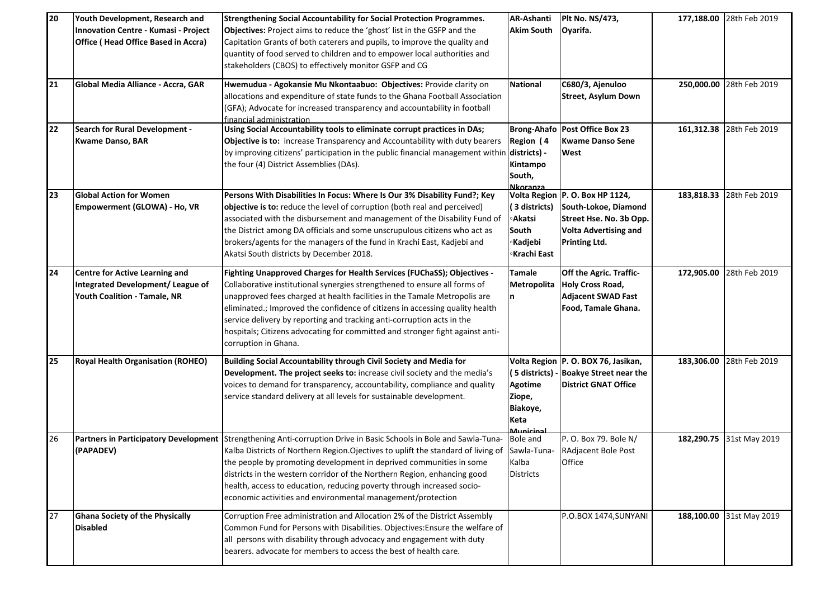| 20 | Youth Development, Research and<br>Innovation Centre - Kumasi - Project<br><b>Office (Head Office Based in Accra)</b> | <b>Strengthening Social Accountability for Social Protection Programmes.</b><br>Objectives: Project aims to reduce the 'ghost' list in the GSFP and the<br>Capitation Grants of both caterers and pupils, to improve the quality and<br>quantity of food served to children and to empower local authorities and<br>stakeholders (CBOS) to effectively monitor GSFP and CG                                                                                                                           | <b>AR-Ashanti</b><br><b>Akim South</b>                        | Plt No. NS/473,<br>Oyarifa.                                                                                                                |            | 177,188.00 28th Feb 2019 |
|----|-----------------------------------------------------------------------------------------------------------------------|------------------------------------------------------------------------------------------------------------------------------------------------------------------------------------------------------------------------------------------------------------------------------------------------------------------------------------------------------------------------------------------------------------------------------------------------------------------------------------------------------|---------------------------------------------------------------|--------------------------------------------------------------------------------------------------------------------------------------------|------------|--------------------------|
| 21 | Global Media Alliance - Accra, GAR                                                                                    | Hwemudua - Agokansie Mu Nkontaabuo: Objectives: Provide clarity on<br>allocations and expenditure of state funds to the Ghana Football Association<br>(GFA); Advocate for increased transparency and accountability in football<br>financial administration                                                                                                                                                                                                                                          | <b>National</b>                                               | C680/3, Ajenuloo<br><b>Street, Asylum Down</b>                                                                                             |            | 250,000.00 28th Feb 2019 |
| 22 | <b>Search for Rural Development -</b><br><b>Kwame Danso, BAR</b>                                                      | Using Social Accountability tools to eliminate corrupt practices in DAs;<br>Objective is to: increase Transparency and Accountability with duty bearers<br>by improving citizens' participation in the public financial management within<br>the four (4) District Assemblies (DAs).                                                                                                                                                                                                                 | Region (4<br>districts) -<br>Kintampo<br>South,<br>Nkoranza   | <b>Brong-Ahafo Post Office Box 23</b><br><b>Kwame Danso Sene</b><br>West                                                                   |            | 161,312.38 28th Feb 2019 |
| 23 | <b>Global Action for Women</b><br>Empowerment (GLOWA) - Ho, VR                                                        | Persons With Disabilities In Focus: Where Is Our 3% Disability Fund?; Key<br>objective is to: reduce the level of corruption (both real and perceived)<br>associated with the disbursement and management of the Disability Fund of<br>the District among DA officials and some unscrupulous citizens who act as<br>brokers/agents for the managers of the fund in Krachi East, Kadjebi and<br>Akatsi South districts by December 2018.                                                              | (3 districts)<br>∘Akatsi<br>South<br>∘Kadjebi<br>∘Krachi East | Volta Region P. O. Box HP 1124,<br>South-Lokoe, Diamond<br>Street Hse. No. 3b Opp.<br><b>Volta Advertising and</b><br><b>Printing Ltd.</b> | 183,818.33 | 28th Feb 2019            |
| 24 | <b>Centre for Active Learning and</b><br><b>Integrated Development/ League of</b><br>Youth Coalition - Tamale, NR     | Fighting Unapproved Charges for Health Services (FUChaSS); Objectives -<br>Collaborative institutional synergies strengthened to ensure all forms of<br>unapproved fees charged at health facilities in the Tamale Metropolis are<br>eliminated.; Improved the confidence of citizens in accessing quality health<br>service delivery by reporting and tracking anti-corruption acts in the<br>hospitals; Citizens advocating for committed and stronger fight against anti-<br>corruption in Ghana. | <b>Tamale</b><br>Metropolita<br>n                             | Off the Agric. Traffic-<br><b>Holy Cross Road,</b><br><b>Adjacent SWAD Fast</b><br>Food, Tamale Ghana.                                     | 172,905.00 | 28th Feb 2019            |
| 25 | <b>Royal Health Organisation (ROHEO)</b>                                                                              | Building Social Accountability through Civil Society and Media for<br>Development. The project seeks to: increase civil society and the media's<br>voices to demand for transparency, accountability, compliance and quality<br>service standard delivery at all levels for sustainable development.                                                                                                                                                                                                 | <b>Agotime</b><br>Ziope,<br>Biakoye,<br>Keta<br>Municina      | Volta Region   P. O. BOX 76, Jasikan,<br>(5 districts) - Boakye Street near the<br><b>District GNAT Office</b>                             | 183,306.00 | 28th Feb 2019            |
| 26 | (PAPADEV)                                                                                                             | Partners in Participatory Development Strengthening Anti-corruption Drive in Basic Schools in Bole and Sawla-Tuna-<br>Kalba Districts of Northern Region. Ojectives to uplift the standard of living of<br>the people by promoting development in deprived communities in some<br>districts in the western corridor of the Northern Region, enhancing good<br>health, access to education, reducing poverty through increased socio-<br>economic activities and environmental management/protection  | <b>Bole and</b><br>Sawla-Tuna-<br>Kalba<br><b>Districts</b>   | P. O. Box 79. Bole N/<br>RAdjacent Bole Post<br>Office                                                                                     |            | 182,290.75 31st May 2019 |
| 27 | <b>Ghana Society of the Physically</b><br><b>Disabled</b>                                                             | Corruption Free administration and Allocation 2% of the District Assembly<br>Common Fund for Persons with Disabilities. Objectives: Ensure the welfare of<br>all persons with disability through advocacy and engagement with duty<br>bearers. advocate for members to access the best of health care.                                                                                                                                                                                               |                                                               | P.O.BOX 1474, SUNYANI                                                                                                                      |            | 188,100.00 31st May 2019 |